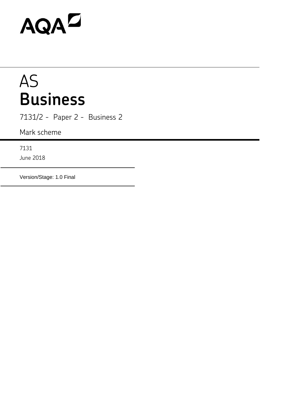# AQAD

# AS **Business**

7131/2 - Paper 2 - Business 2

Mark scheme

7131

June 2018

Version/Stage: 1.0 Final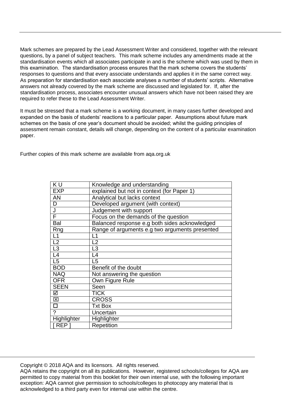Mark schemes are prepared by the Lead Assessment Writer and considered, together with the relevant questions, by a panel of subject teachers. This mark scheme includes any amendments made at the standardisation events which all associates participate in and is the scheme which was used by them in this examination. The standardisation process ensures that the mark scheme covers the students' responses to questions and that every associate understands and applies it in the same correct way. As preparation for standardisation each associate analyses a number of students' scripts. Alternative answers not already covered by the mark scheme are discussed and legislated for. If, after the standardisation process, associates encounter unusual answers which have not been raised they are required to refer these to the Lead Assessment Writer.

It must be stressed that a mark scheme is a working document, in many cases further developed and expanded on the basis of students' reactions to a particular paper. Assumptions about future mark schemes on the basis of one year's document should be avoided; whilst the guiding principles of assessment remain constant, details will change, depending on the content of a particular examination paper.

Further copies of this mark scheme are available from aqa.org.uk

| KU                      | Knowledge and understanding                    |
|-------------------------|------------------------------------------------|
| <b>EXP</b>              | explained but not in context (for Paper 1)     |
| <b>AN</b>               | Analytical but lacks context                   |
| D                       | Developed argument (with context)              |
| J                       | Judgement with support                         |
| F                       | Focus on the demands of the question           |
| Bal                     | Balanced response e.g both sides acknowledged  |
| Rng                     | Range of arguments e.g two arguments presented |
| L1                      | L1                                             |
| L2                      | L2                                             |
| $\frac{1}{13}$          | L <sub>3</sub>                                 |
| L4                      | L4                                             |
| $\overline{L5}$         | L <sub>5</sub>                                 |
| <b>BOD</b>              | Benefit of the doubt                           |
| <b>NAQ</b>              | Not answering the question                     |
| <b>OFR</b>              | Own Figure Rule                                |
| <b>SEEN</b>             | Seen                                           |
| ☑                       | <b>TICK</b>                                    |
| $\overline{\mathsf{x}}$ | <b>CROSS</b>                                   |
| $\overline{\Box}$       | <b>Txt Box</b>                                 |
| $\overline{2}$          | Uncertain                                      |
| Highlighter             | Highlighter                                    |
| REP <sub>1</sub>        | Repetition                                     |

Copyright © 2018 AQA and its licensors. All rights reserved.

AQA retains the copyright on all its publications. However, registered schools/colleges for AQA are permitted to copy material from this booklet for their own internal use, with the following important exception: AQA cannot give permission to schools/colleges to photocopy any material that is acknowledged to a third party even for internal use within the centre.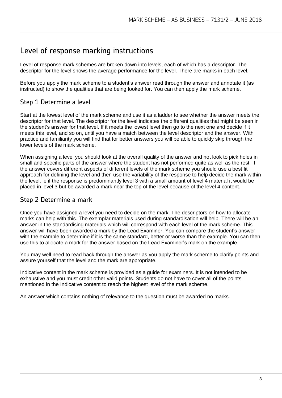## Level of response marking instructions

Level of response mark schemes are broken down into levels, each of which has a descriptor. The descriptor for the level shows the average performance for the level. There are marks in each level.

Before you apply the mark scheme to a student's answer read through the answer and annotate it (as instructed) to show the qualities that are being looked for. You can then apply the mark scheme.

### Step 1 Determine a level

Start at the lowest level of the mark scheme and use it as a ladder to see whether the answer meets the descriptor for that level. The descriptor for the level indicates the different qualities that might be seen in the student's answer for that level. If it meets the lowest level then go to the next one and decide if it meets this level, and so on, until you have a match between the level descriptor and the answer. With practice and familiarity you will find that for better answers you will be able to quickly skip through the lower levels of the mark scheme.

When assigning a level you should look at the overall quality of the answer and not look to pick holes in small and specific parts of the answer where the student has not performed quite as well as the rest. If the answer covers different aspects of different levels of the mark scheme you should use a best fit approach for defining the level and then use the variability of the response to help decide the mark within the level, ie if the response is predominantly level 3 with a small amount of level 4 material it would be placed in level 3 but be awarded a mark near the top of the level because of the level 4 content.

#### Step 2 Determine a mark

Once you have assigned a level you need to decide on the mark. The descriptors on how to allocate marks can help with this. The exemplar materials used during standardisation will help. There will be an answer in the standardising materials which will correspond with each level of the mark scheme. This answer will have been awarded a mark by the Lead Examiner. You can compare the student's answer with the example to determine if it is the same standard, better or worse than the example. You can then use this to allocate a mark for the answer based on the Lead Examiner's mark on the example.

You may well need to read back through the answer as you apply the mark scheme to clarify points and assure yourself that the level and the mark are appropriate.

Indicative content in the mark scheme is provided as a guide for examiners. It is not intended to be exhaustive and you must credit other valid points. Students do not have to cover all of the points mentioned in the Indicative content to reach the highest level of the mark scheme.

An answer which contains nothing of relevance to the question must be awarded no marks.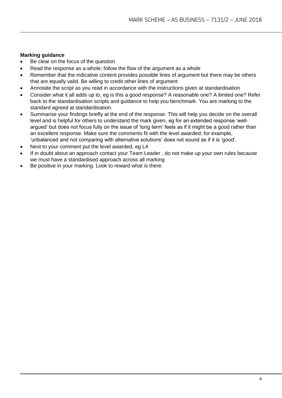#### **Marking guidance**

- Be clear on the focus of the question
- Read the response as a whole; follow the flow of the argument as a whole
- Remember that the indicative content provides possible lines of argument but there may be others that are equally valid. Be willing to credit other lines of argument
- Annotate the script as you read in accordance with the instructions given at standardisation
- Consider what it all adds up to, eg is this a good response? A reasonable one? A limited one? Refer back to the standardisation scripts and guidance to help you benchmark. You are marking to the standard agreed at standardisation.
- Summarise your findings briefly at the end of the response. This will help you decide on the overall level and is helpful for others to understand the mark given, eg for an extended response 'wellargued' but does not focus fully on the issue of 'long term' feels as if it might be a good rather than an excellent response. Make sure the comments fit with the level awarded: for example, 'unbalanced and not comparing with alternative solutions' does not sound as if it is 'good'.
- Next to your comment put the level awarded, eg L4
- If in doubt about an approach contact your Team Leader , do not make up your own rules because we must have a standardised approach across all marking
- Be positive in your marking. Look to reward what is there.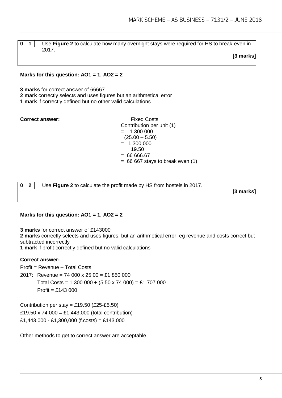**0 1** Use **Figure 2** to calculate how many overnight stays were required for HS to break-even in 2017.

**[3 marks]**

#### **Marks for this question: AO1 = 1, AO2 = 2**

**3 marks** for correct answer of 66667

**2 mark** correctly selects and uses figures but an arithmetical error

**1 mark** if correctly defined but no other valid calculations

**Correct answer:** Fixed Costs

Contribution per unit (1) =\_\_1 300 000\_  $(25.00 - 5.50)$  $= 1300000$ 19.50  $= 6666667$  $= 66 667$  stays to break even  $(1)$ 

**0 2** Use **Figure 2** to calculate the profit made by HS from hostels in 2017.

**[3 marks]**

#### **Marks for this question: AO1 = 1, AO2 = 2**

**3 marks** for correct answer of £143000

**2 marks** correctly selects and uses figures, but an arithmetical error, eg revenue and costs correct but subtracted incorrectly

**1 mark** if profit correctly defined but no valid calculations

#### **Correct answer:**

Profit = Revenue – Total Costs

2017: Revenue = 74 000 x 25.00 = £1 850 000

Total Costs = 1 300 000 +  $(5.50 \times 74\,000) = £1\,707\,000$  $Profit = £143000$ 

Contribution per stay = £19.50 (£25-£5.50) £19.50 x 74,000 = £1,443,000 (total contribution)  $£1,443,000 - £1,300,000$  (f.costs) = £143,000

Other methods to get to correct answer are acceptable.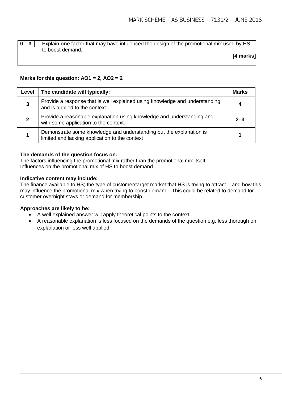#### **0** | **3** | Explain one factor that may have influenced the design of the promotional mix used by HS to boost demand.

**[4 marks]**

#### **Marks for this question: AO1 = 2, AO2 = 2**

| Level | The candidate will typically:                                                                                         | <b>Marks</b> |
|-------|-----------------------------------------------------------------------------------------------------------------------|--------------|
| 3     | Provide a response that is well explained using knowledge and understanding<br>and is applied to the context.         |              |
|       | Provide a reasonable explanation using knowledge and understanding and<br>with some application to the context.       | $2 - 3$      |
|       | Demonstrate some knowledge and understanding but the explanation is<br>limited and lacking application to the context |              |

#### **The demands of the question focus on:**

The factors influencing the promotional mix rather than the promotional mix itself Influences on the promotional mix of HS to boost demand

#### **Indicative content may include:**

The finance available to HS; the type of customer/target market that HS is trying to attract – and how this may influence the promotional mix when trying to boost demand. This could be related to demand for customer overnight stays or demand for membership.

#### **Approaches are likely to be:**

- A well explained answer will apply theoretical points to the context
- A reasonable explanation is less focused on the demands of the question e.g. less thorough on explanation or less well applied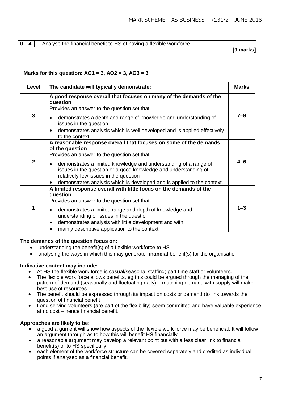**0**  $\vert$  4  $\vert$  Analyse the financial benefit to HS of having a flexible workforce.

**[9 marks]**

#### **Marks for this question: AO1 = 3, AO2 = 3, AO3 = 3**

| Level          | The candidate will typically demonstrate:                                                                                                                                                                                                                                                                                                                                                                    | <b>Marks</b> |
|----------------|--------------------------------------------------------------------------------------------------------------------------------------------------------------------------------------------------------------------------------------------------------------------------------------------------------------------------------------------------------------------------------------------------------------|--------------|
| 3              | A good response overall that focuses on many of the demands of the<br>question<br>Provides an answer to the question set that:<br>demonstrates a depth and range of knowledge and understanding of<br>issues in the question<br>demonstrates analysis which is well developed and is applied effectively<br>to the context.                                                                                  | $7 - 9$      |
| $\overline{2}$ | A reasonable response overall that focuses on some of the demands<br>of the question<br>Provides an answer to the question set that:<br>demonstrates a limited knowledge and understanding of a range of<br>$\bullet$<br>issues in the question or a good knowledge and understanding of<br>relatively few issues in the question<br>demonstrates analysis which is developed and is applied to the context. | $4 - 6$      |
| 1              | A limited response overall with little focus on the demands of the<br>question<br>Provides an answer to the question set that:<br>demonstrates a limited range and depth of knowledge and<br>$\bullet$<br>understanding of issues in the question<br>demonstrates analysis with little development and with<br>$\bullet$<br>mainly descriptive application to the context.                                   | $1 - 3$      |

#### **The demands of the question focus on:**

- understanding the benefit(s) of a flexible workforce to HS
- analysing the ways in which this may generate **financial** benefit(s) for the organisation.

#### **Indicative content may include:**

- At HS the flexible work force is casual/seasonal staffing; part time staff or volunteers.
- The flexible work force allows benefits, eg this could be argued through the managing of the pattern of demand (seasonally and fluctuating daily) – matching demand with supply will make best use of resources
- The benefit should be expressed through its impact on costs or demand (to link towards the question of financial benefit
- Long serving volunteers (are part of the flexibility) seem committed and have valuable experience at no cost – hence financial benefit.

#### **Approaches are likely to be:**

- a good argument will show how aspects of the flexible work force may be beneficial. It will follow an argument through as to how this will benefit HS financially
- a reasonable argument may develop a relevant point but with a less clear link to financial benefit(s) or to HS specifically
- each element of the workforce structure can be covered separately and credited as individual points if analysed as a financial benefit.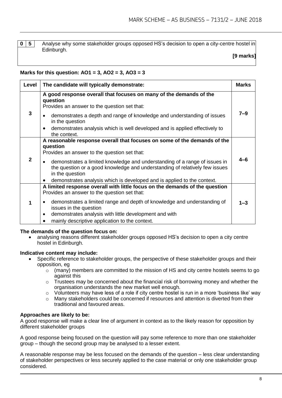**0 5** Analyse why some stakeholder groups opposed HS's decision to open a city-centre hostel in Edinburgh.

#### **[9 marks]**

#### **Marks for this question: AO1 = 3, AO2 = 3, AO3 = 3**

| Level        | The candidate will typically demonstrate:                                                                                                                                                                                                                                                                                                                                                                    | <b>Marks</b> |
|--------------|--------------------------------------------------------------------------------------------------------------------------------------------------------------------------------------------------------------------------------------------------------------------------------------------------------------------------------------------------------------------------------------------------------------|--------------|
| $\mathbf{3}$ | A good response overall that focuses on many of the demands of the<br>question<br>Provides an answer to the question set that:<br>demonstrates a depth and range of knowledge and understanding of issues<br>in the question<br>demonstrates analysis which is well developed and is applied effectively to<br>the context.                                                                                  | 7–9          |
| $\mathbf{2}$ | A reasonable response overall that focuses on some of the demands of the<br>question<br>Provides an answer to the question set that:<br>demonstrates a limited knowledge and understanding of a range of issues in<br>$\bullet$<br>the question or a good knowledge and understanding of relatively few issues<br>in the question<br>demonstrates analysis which is developed and is applied to the context. | 4–6          |
| 1            | A limited response overall with little focus on the demands of the question<br>Provides an answer to the question set that:<br>demonstrates a limited range and depth of knowledge and understanding of<br>issues in the question<br>demonstrates analysis with little development and with<br>$\bullet$<br>mainly descriptive application to the context.                                                   | $1 - 3$      |

#### **The demands of the question focus on:**

 analysing reasons different stakeholder groups opposed HS's decision to open a city centre hostel in Edinburgh.

#### **Indicative content may include:**

- Specific reference to stakeholder groups, the perspective of these stakeholder groups and their opposition, eg
	- $\circ$  (many) members are committed to the mission of HS and city centre hostels seems to go against this
	- o Trustees may be concerned about the financial risk of borrowing money and whether the organisation understands the new market well enough.
	- $\circ$  Volunteers may have less of a role if city centre hostel is run in a more 'business like' way
	- $\circ$  Many stakeholders could be concerned if resources and attention is diverted from their traditional and favoured areas.

#### **Approaches are likely to be:**

A good response will make a clear line of argument in context as to the likely reason for opposition by different stakeholder groups

A good response being focused on the question will pay some reference to more than one stakeholder group – though the second group may be analysed to a lesser extent.

A reasonable response may be less focused on the demands of the question – less clear understanding of stakeholder perspectives or less securely applied to the case material or only one stakeholder group considered.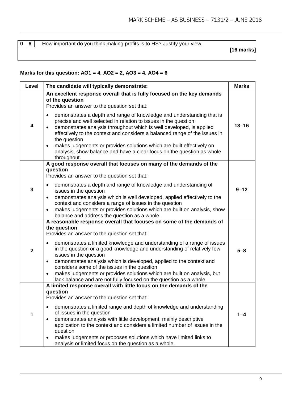**0 6** How important do you think making profits is to HS? Justify your view.

**[16 marks]**

#### **Marks for this question: AO1 = 4, AO2 = 2, AO3 = 4, AO4 = 6**

|  | Level        | The candidate will typically demonstrate:                                                                                                                                                                                                                                                                                                                                                                                                                                                                                                                                                                                    | <b>Marks</b> |
|--|--------------|------------------------------------------------------------------------------------------------------------------------------------------------------------------------------------------------------------------------------------------------------------------------------------------------------------------------------------------------------------------------------------------------------------------------------------------------------------------------------------------------------------------------------------------------------------------------------------------------------------------------------|--------------|
|  | 4            | An excellent response overall that is fully focused on the key demands<br>of the question<br>Provides an answer to the question set that:<br>demonstrates a depth and range of knowledge and understanding that is<br>precise and well selected in relation to issues in the question<br>demonstrates analysis throughout which is well developed, is applied                                                                                                                                                                                                                                                                | $13 - 16$    |
|  |              | effectively to the context and considers a balanced range of the issues in<br>the question<br>makes judgements or provides solutions which are built effectively on<br>$\bullet$<br>analysis, show balance and have a clear focus on the question as whole<br>throughout.                                                                                                                                                                                                                                                                                                                                                    |              |
|  | 3            | A good response overall that focuses on many of the demands of the<br>question<br>Provides an answer to the question set that:<br>demonstrates a depth and range of knowledge and understanding of<br>$\bullet$<br>issues in the question<br>demonstrates analysis which is well developed, applied effectively to the<br>$\bullet$<br>context and considers a range of issues in the question<br>makes judgements or provides solutions which are built on analysis, show<br>balance and address the question as a whole.                                                                                                   | $9 - 12$     |
|  | $\mathbf{2}$ | A reasonable response overall that focuses on some of the demands of<br>the question<br>Provides an answer to the question set that:<br>demonstrates a limited knowledge and understanding of a range of issues<br>$\bullet$<br>in the question or a good knowledge and understanding of relatively few<br>issues in the question<br>demonstrates analysis which is developed, applied to the context and<br>٠<br>considers some of the issues in the question<br>makes judgements or provides solutions which are built on analysis, but<br>$\bullet$<br>lack balance and are not fully focused on the question as a whole. | $5 - 8$      |
|  | 1            | A limited response overall with little focus on the demands of the<br>question<br>Provides an answer to the question set that:<br>demonstrates a limited range and depth of knowledge and understanding<br>$\bullet$<br>of issues in the question<br>demonstrates analysis with little development, mainly descriptive<br>$\bullet$<br>application to the context and considers a limited number of issues in the<br>question<br>makes judgements or proposes solutions which have limited links to<br>٠<br>analysis or limited focus on the question as a whole.                                                            | 1–4          |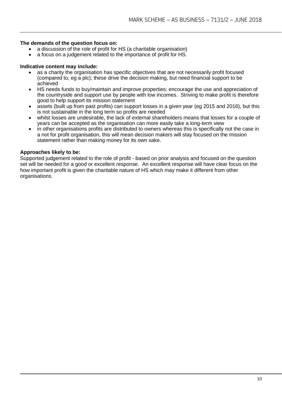#### **The demands of the question focus on:**

- a discussion of the role of profit for HS (a charitable organisation)
- a focus on a judgement related to the importance of profit for HS.

#### **Indicative content may include:**

- as a charity the organisation has specific objectives that are not necessarily profit focused (compared to, eg a plc); these drive the decision making, but need financial support to be achieved
- HS needs funds to buy/maintain and improve properties; encourage the use and appreciation of the countryside and support use by people with low incomes. Striving to make profit is therefore good to help support its mission statement
- assets (built up from past profits) can support losses in a given year (eg 2015 and 2016), but this is not sustainable in the long term so profits are needed
- whilst losses are undesirable, the lack of external shareholders means that losses for a couple of years can be accepted as the organisation can more easily take a long-term view
- in other organisations profits are distributed to owners whereas this is specifically not the case in a not for profit organisation, this will mean decision makers will stay focused on the mission statement rather than making money for its own sake.

#### **Approaches likely to be:**

Supported judgement related to the role of profit - based on prior analysis and focused on the question set will be needed for a good or excellent response. An excellent response will have clear focus on the how important profit is given the charitable nature of HS which may make it different from other organisations.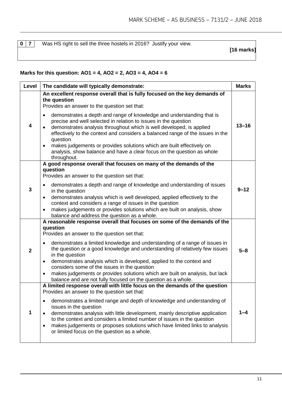**0 7** Was HS right to sell the three hostels in 2016? Justify your view.

**[16 marks]**

#### **Marks for this question: AO1 = 4, AO2 = 2, AO3 = 4, AO4 = 6**

| Level                   | The candidate will typically demonstrate:                                                                                                                                                                                                                                                                                                                                                                                                                                                    | <b>Marks</b> |
|-------------------------|----------------------------------------------------------------------------------------------------------------------------------------------------------------------------------------------------------------------------------------------------------------------------------------------------------------------------------------------------------------------------------------------------------------------------------------------------------------------------------------------|--------------|
|                         | An excellent response overall that is fully focused on the key demands of<br>the question<br>Provides an answer to the question set that:<br>demonstrates a depth and range of knowledge and understanding that is<br>$\bullet$<br>precise and well selected in relation to issues in the question                                                                                                                                                                                           |              |
| $\overline{\mathbf{4}}$ | demonstrates analysis throughout which is well developed, is applied<br>effectively to the context and considers a balanced range of the issues in the<br>question<br>makes judgements or provides solutions which are built effectively on<br>$\bullet$<br>analysis, show balance and have a clear focus on the question as whole<br>throughout.                                                                                                                                            | $13 - 16$    |
|                         | A good response overall that focuses on many of the demands of the<br>question<br>Provides an answer to the question set that:                                                                                                                                                                                                                                                                                                                                                               |              |
| 3                       | demonstrates a depth and range of knowledge and understanding of issues<br>$\bullet$<br>in the question<br>demonstrates analysis which is well developed, applied effectively to the<br>$\bullet$<br>context and considers a range of issues in the question<br>makes judgements or provides solutions which are built on analysis, show<br>$\bullet$<br>balance and address the question as a whole.                                                                                        | $9 - 12$     |
|                         | A reasonable response overall that focuses on some of the demands of the<br>question<br>Provides an answer to the question set that:                                                                                                                                                                                                                                                                                                                                                         |              |
| $\overline{2}$          | demonstrates a limited knowledge and understanding of a range of issues in<br>$\bullet$<br>the question or a good knowledge and understanding of relatively few issues<br>in the question<br>demonstrates analysis which is developed, applied to the context and<br>$\bullet$<br>considers some of the issues in the question<br>makes judgements or provides solutions which are built on analysis, but lack<br>$\bullet$<br>balance and are not fully focused on the question as a whole. | $5 - 8$      |
|                         | A limited response overall with little focus on the demands of the question<br>Provides an answer to the question set that:                                                                                                                                                                                                                                                                                                                                                                  |              |
| 1                       | demonstrates a limited range and depth of knowledge and understanding of<br>$\bullet$<br>issues in the question<br>demonstrates analysis with little development, mainly descriptive application<br>to the context and considers a limited number of issues in the question<br>makes judgements or proposes solutions which have limited links to analysis<br>or limited focus on the question as a whole.                                                                                   | 1–4          |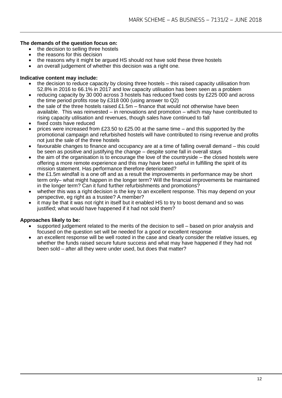#### **The demands of the question focus on:**

- the decision to selling three hostels
- the reasons for this decision
- the reasons why it might be argued HS should not have sold these three hostels
- an overall judgement of whether this decision was a right one.

#### **Indicative content may include:**

- the decision to reduce capacity by closing three hostels this raised capacity utilisation from 52.8% in 2016 to 66.1% in 2017 and low capacity utilisation has been seen as a problem
- reducing capacity by 30 000 across 3 hostels has reduced fixed costs by £225 000 and across the time period profits rose by £318 000 (using answer to Q2)
- the sale of the three hostels raised £1.5m finance that would not otherwise have been available. This was reinvested – in renovations and promotion – which may have contributed to rising capacity utilisation and revenues, though sales have continued to fall
- fixed costs have reduced
- prices were increased from £23.50 to £25.00 at the same time and this supported by the promotional campaign and refurbished hostels will have contributed to rising revenue and profits not just the sale of the three hostels
- favourable changes to finance and occupancy are at a time of falling overall demand this could be seen as positive and justifying the change – despite some fall in overall stays
- the aim of the organisation is to encourage the love of the countryside the closed hostels were offering a more remote experience and this may have been useful in fulfilling the spirit of its mission statement. Has performance therefore deteriorated?
- the £1.5m windfall is a one off and as a result the improvements in performance may be short term only– what might happen in the longer term? Will the financial improvements be maintained in the longer term? Can it fund further refurbishments and promotions?
- whether this was a right decision is the key to an excellent response. This may depend on your perspective, eg right as a trustee? A member?
- it may be that it was not right in itself but it enabled HS to try to boost demand and so was justified; what would have happened if it had not sold them?

#### **Approaches likely to be:**

- supported judgement related to the merits of the decision to sell based on prior analysis and focused on the question set will be needed for a good or excellent response
- an excellent response will be well rooted in the case and clearly consider the relative issues, eg whether the funds raised secure future success and what may have happened if they had not been sold – after all they were under used, but does that matter?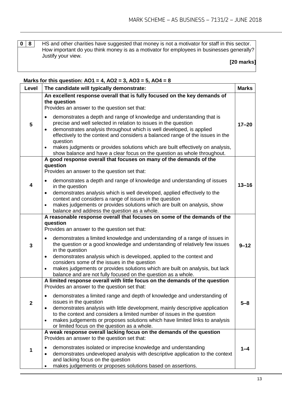**0 8 HS** and other charities have suggested that money is not a motivator for staff in this sector. How important do you think money is as a motivator for employees in businesses generally? Justify your view.

#### **[20 marks]**

| Level        | The candidate will typically demonstrate:                                                                                                                                                                                                                                                                                                                                                                                                                                                                                                                                                                                            | <b>Marks</b> |
|--------------|--------------------------------------------------------------------------------------------------------------------------------------------------------------------------------------------------------------------------------------------------------------------------------------------------------------------------------------------------------------------------------------------------------------------------------------------------------------------------------------------------------------------------------------------------------------------------------------------------------------------------------------|--------------|
| 5            | An excellent response overall that is fully focused on the key demands of<br>the question<br>Provides an answer to the question set that:<br>demonstrates a depth and range of knowledge and understanding that is<br>$\bullet$<br>precise and well selected in relation to issues in the question<br>demonstrates analysis throughout which is well developed, is applied<br>$\bullet$<br>effectively to the context and considers a balanced range of the issues in the<br>question<br>makes judgments or provides solutions which are built effectively on analysis,<br>$\bullet$                                                 | $17 - 20$    |
| 4            | show balance and have a clear focus on the question as whole throughout.<br>A good response overall that focuses on many of the demands of the<br>question<br>Provides an answer to the question set that:<br>demonstrates a depth and range of knowledge and understanding of issues<br>in the question<br>demonstrates analysis which is well developed, applied effectively to the<br>$\bullet$<br>context and considers a range of issues in the question<br>makes judgements or provides solutions which are built on analysis, show<br>$\bullet$<br>balance and address the question as a whole.                               | $13 - 16$    |
| $\mathbf{3}$ | A reasonable response overall that focuses on some of the demands of the<br>question<br>Provides an answer to the question set that:<br>demonstrates a limited knowledge and understanding of a range of issues in<br>$\bullet$<br>the question or a good knowledge and understanding of relatively few issues<br>in the question<br>demonstrates analysis which is developed, applied to the context and<br>$\bullet$<br>considers some of the issues in the question<br>makes judgements or provides solutions which are built on analysis, but lack<br>$\bullet$<br>balance and are not fully focused on the question as a whole. | $9 - 12$     |
| $\mathbf{2}$ | A limited response overall with little focus on the demands of the question<br>Provides an answer to the question set that:<br>demonstrates a limited range and depth of knowledge and understanding of<br>$\bullet$<br>issues in the question<br>demonstrates analysis with little development, mainly descriptive application<br>$\bullet$<br>to the context and considers a limited number of issues in the question<br>makes judgements or proposes solutions which have limited links to analysis<br>$\bullet$<br>or limited focus on the question as a whole.                                                                  | $5 - 8$      |
| 1            | A weak response overall lacking focus on the demands of the question<br>Provides an answer to the question set that:<br>demonstrates isolated or imprecise knowledge and understanding<br>demonstrates undeveloped analysis with descriptive application to the context<br>$\bullet$<br>and lacking focus on the question<br>makes judgements or proposes solutions based on assertions.<br>٠                                                                                                                                                                                                                                        | 1-4          |

#### **Marks for this question: AO1 = 4, AO2 = 3, AO3 = 5, AO4 = 8**